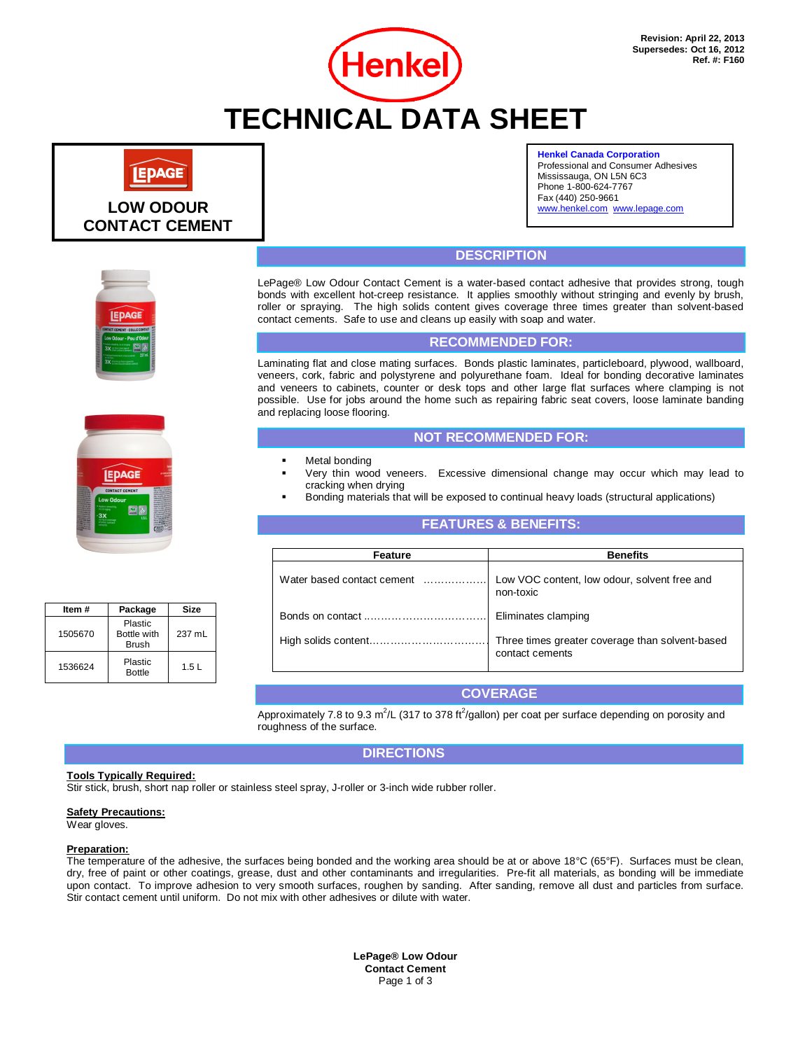

#### **Henkel Canada Corporation**

Professional and Consumer Adhesives Mississauga, ON L5N 6C3 Phone 1-800-624-7767 Fax (440) 250-9661 www.henkel.com www.lepage.com

**LOW ODOUR CONTACT CEMENT**

**EPAGE** 



# **DESCRIPTION**

LePage® Low Odour Contact Cement is a water-based contact adhesive that provides strong, tough bonds with excellent hot-creep resistance. It applies smoothly without stringing and evenly by brush, roller or spraying. The high solids content gives coverage three times greater than solvent-based contact cements. Safe to use and cleans up easily with soap and water.

### **RECOMMENDED FOR:**

Laminating flat and close mating surfaces. Bonds plastic laminates, particleboard, plywood, wallboard, veneers, cork, fabric and polystyrene and polyurethane foam. Ideal for bonding decorative laminates and veneers to cabinets, counter or desk tops and other large flat surfaces where clamping is not possible. Use for jobs around the home such as repairing fabric seat covers, loose laminate banding and replacing loose flooring.

## **NOT RECOMMENDED FOR:**

- Metal bonding
- Very thin wood veneers. Excessive dimensional change may occur which may lead to cracking when drying
- Bonding materials that will be exposed to continual heavy loads (structural applications)

### **FEATURES & BENEFITS:**

| Feature | <b>Benefits</b>                                                                       |  |  |
|---------|---------------------------------------------------------------------------------------|--|--|
|         | Water based contact cement  Low VOC content, low odour, solvent free and<br>non-toxic |  |  |
|         | Eliminates clamping                                                                   |  |  |
|         | Three times greater coverage than solvent-based<br>contact cements                    |  |  |
|         |                                                                                       |  |  |

## **COVERAGE**

Approximately 7.8 to 9.3 m<sup>2</sup>/L (317 to 378 ft<sup>2</sup>/gallon) per coat per surface depending on porosity and roughness of the surface.

### **DIRECTIONS**

#### **Tools Typically Required:**

Stir stick, brush, short nap roller or stainless steel spray, J-roller or 3-inch wide rubber roller.

### **Safety Precautions:**

Wear gloves.

#### **Preparation:**

The temperature of the adhesive, the surfaces being bonded and the working area should be at or above 18°C (65°F). Surfaces must be clean, dry, free of paint or other coatings, grease, dust and other contaminants and irregularities. Pre-fit all materials, as bonding will be immediate upon contact. To improve adhesion to very smooth surfaces, roughen by sanding. After sanding, remove all dust and particles from surface. Stir contact cement until uniform. Do not mix with other adhesives or dilute with water.

> **LePage® Low Odour Contact Cement** Page 1 of 3

| Item #  | Package                                | Size   |  |
|---------|----------------------------------------|--------|--|
| 1505670 | Plastic<br>Bottle with<br><b>Brush</b> | 237 mL |  |
| 1536624 | Plastic<br><b>Bottle</b>               | 1.5L   |  |

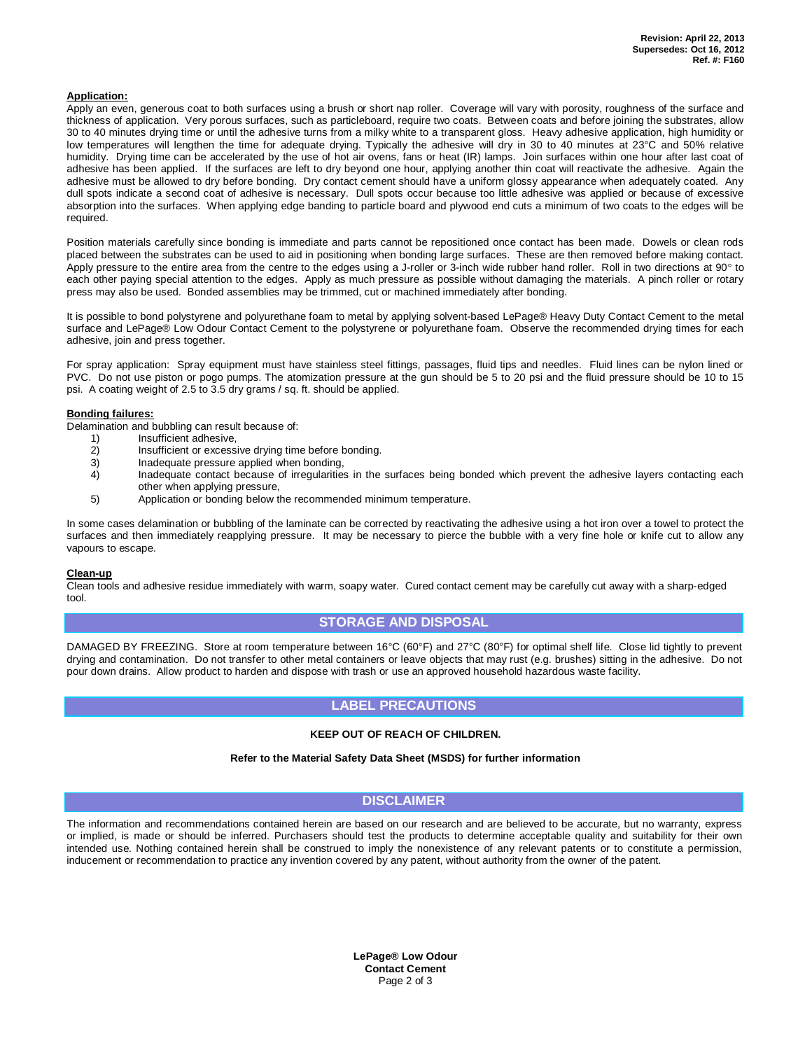#### **Application:**

Apply an even, generous coat to both surfaces using a brush or short nap roller. Coverage will vary with porosity, roughness of the surface and thickness of application. Very porous surfaces, such as particleboard, require two coats. Between coats and before joining the substrates, allow 30 to 40 minutes drying time or until the adhesive turns from a milky white to a transparent gloss. Heavy adhesive application, high humidity or low temperatures will lengthen the time for adequate drying. Typically the adhesive will dry in 30 to 40 minutes at 23°C and 50% relative humidity. Drying time can be accelerated by the use of hot air ovens, fans or heat (IR) lamps. Join surfaces within one hour after last coat of adhesive has been applied. If the surfaces are left to dry beyond one hour, applying another thin coat will reactivate the adhesive. Again the adhesive must be allowed to dry before bonding. Dry contact cement should have a uniform glossy appearance when adequately coated. Any dull spots indicate a second coat of adhesive is necessary. Dull spots occur because too little adhesive was applied or because of excessive absorption into the surfaces. When applying edge banding to particle board and plywood end cuts a minimum of two coats to the edges will be required.

Position materials carefully since bonding is immediate and parts cannot be repositioned once contact has been made. Dowels or clean rods placed between the substrates can be used to aid in positioning when bonding large surfaces. These are then removed before making contact. Apply pressure to the entire area from the centre to the edges using a J-roller or 3-inch wide rubber hand roller. Roll in two directions at 90 $^{\circ}$  to each other paying special attention to the edges. Apply as much pressure as possible without damaging the materials. A pinch roller or rotary press may also be used. Bonded assemblies may be trimmed, cut or machined immediately after bonding.

It is possible to bond polystyrene and polyurethane foam to metal by applying solvent-based LePage® Heavy Duty Contact Cement to the metal surface and LePage® Low Odour Contact Cement to the polystyrene or polyurethane foam. Observe the recommended drying times for each adhesive, join and press together.

For spray application: Spray equipment must have stainless steel fittings, passages, fluid tips and needles. Fluid lines can be nylon lined or PVC. Do not use piston or pogo pumps. The atomization pressure at the gun should be 5 to 20 psi and the fluid pressure should be 10 to 15 psi. A coating weight of 2.5 to 3.5 dry grams / sq. ft. should be applied.

#### **Bonding failures:**

Delamination and bubbling can result because of:<br>
1) Insufficient adhesive.

- Insufficient adhesive,
- 2) Insufficient or excessive drying time before bonding.<br>3) Inadequate pressure applied when bonding.
- Inadequate pressure applied when bonding,
- 4) Inadequate contact because of irregularities in the surfaces being bonded which prevent the adhesive layers contacting each other when applying pressure,
- 5) Application or bonding below the recommended minimum temperature.

In some cases delamination or bubbling of the laminate can be corrected by reactivating the adhesive using a hot iron over a towel to protect the surfaces and then immediately reapplying pressure. It may be necessary to pierce the bubble with a very fine hole or knife cut to allow any vapours to escape.

#### **Clean-up**

Clean tools and adhesive residue immediately with warm, soapy water. Cured contact cement may be carefully cut away with a sharp-edged tool.

### **STORAGE AND DISPOSAL**

DAMAGED BY FREEZING. Store at room temperature between 16°C (60°F) and 27°C (80°F) for optimal shelf life. Close lid tightly to prevent drying and contamination. Do not transfer to other metal containers or leave objects that may rust (e.g. brushes) sitting in the adhesive. Do not pour down drains. Allow product to harden and dispose with trash or use an approved household hazardous waste facility.

## **LABEL PRECAUTIONS**

#### **KEEP OUT OF REACH OF CHILDREN.**

#### **Refer to the Material Safety Data Sheet (MSDS) for further information**

### **DISCLAIMER**

The information and recommendations contained herein are based on our research and are believed to be accurate, but no warranty, express or implied, is made or should be inferred. Purchasers should test the products to determine acceptable quality and suitability for their own intended use. Nothing contained herein shall be construed to imply the nonexistence of any relevant patents or to constitute a permission, inducement or recommendation to practice any invention covered by any patent, without authority from the owner of the patent.

> **LePage® Low Odour Contact Cement** Page 2 of 3